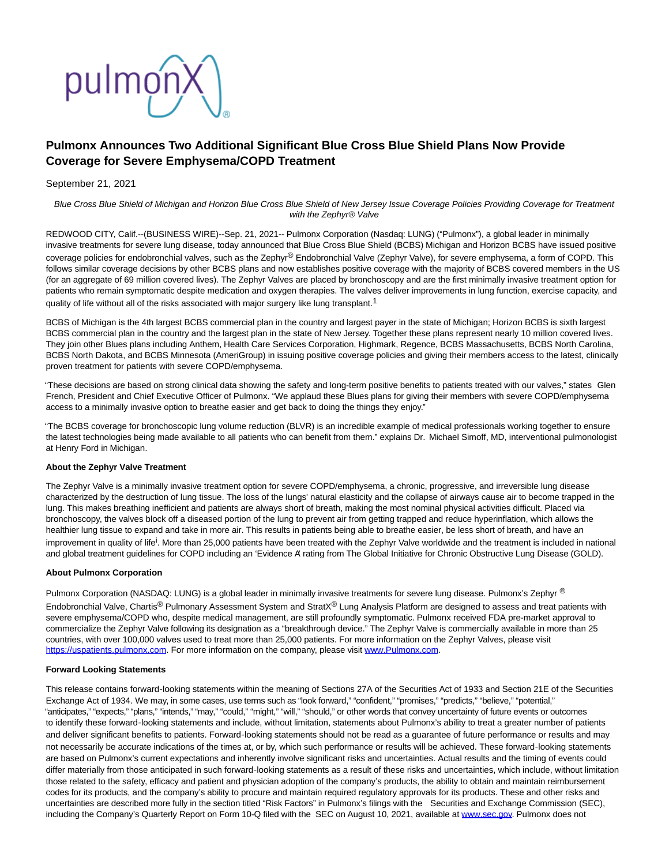

# **Pulmonx Announces Two Additional Significant Blue Cross Blue Shield Plans Now Provide Coverage for Severe Emphysema/COPD Treatment**

## September 21, 2021

Blue Cross Blue Shield of Michigan and Horizon Blue Cross Blue Shield of New Jersey Issue Coverage Policies Providing Coverage for Treatment with the Zephyr® Valve

REDWOOD CITY, Calif.--(BUSINESS WIRE)--Sep. 21, 2021-- Pulmonx Corporation (Nasdaq: LUNG) ("Pulmonx"), a global leader in minimally invasive treatments for severe lung disease, today announced that Blue Cross Blue Shield (BCBS) Michigan and Horizon BCBS have issued positive coverage policies for endobronchial valves, such as the Zephyr® Endobronchial Valve (Zephyr Valve), for severe emphysema, a form of COPD. This follows similar coverage decisions by other BCBS plans and now establishes positive coverage with the majority of BCBS covered members in the US (for an aggregate of 69 million covered lives). The Zephyr Valves are placed by bronchoscopy and are the first minimally invasive treatment option for patients who remain symptomatic despite medication and oxygen therapies. The valves deliver improvements in lung function, exercise capacity, and quality of life without all of the risks associated with major surgery like lung transplant.<sup>1</sup>

BCBS of Michigan is the 4th largest BCBS commercial plan in the country and largest payer in the state of Michigan; Horizon BCBS is sixth largest BCBS commercial plan in the country and the largest plan in the state of New Jersey. Together these plans represent nearly 10 million covered lives. They join other Blues plans including Anthem, Health Care Services Corporation, Highmark, Regence, BCBS Massachusetts, BCBS North Carolina, BCBS North Dakota, and BCBS Minnesota (AmeriGroup) in issuing positive coverage policies and giving their members access to the latest, clinically proven treatment for patients with severe COPD/emphysema.

"These decisions are based on strong clinical data showing the safety and long-term positive benefits to patients treated with our valves," states Glen French, President and Chief Executive Officer of Pulmonx. "We applaud these Blues plans for giving their members with severe COPD/emphysema access to a minimally invasive option to breathe easier and get back to doing the things they enjoy."

"The BCBS coverage for bronchoscopic lung volume reduction (BLVR) is an incredible example of medical professionals working together to ensure the latest technologies being made available to all patients who can benefit from them." explains Dr. Michael Simoff, MD, interventional pulmonologist at Henry Ford in Michigan.

## **About the Zephyr Valve Treatment**

The Zephyr Valve is a minimally invasive treatment option for severe COPD/emphysema, a chronic, progressive, and irreversible lung disease characterized by the destruction of lung tissue. The loss of the lungs' natural elasticity and the collapse of airways cause air to become trapped in the lung. This makes breathing inefficient and patients are always short of breath, making the most nominal physical activities difficult. Placed via bronchoscopy, the valves block off a diseased portion of the lung to prevent air from getting trapped and reduce hyperinflation, which allows the healthier lung tissue to expand and take in more air. This results in patients being able to breathe easier, be less short of breath, and have an improvement in quality of life<sup>i</sup>. More than 25,000 patients have been treated with the Zephyr Valve worldwide and the treatment is included in national and global treatment guidelines for COPD including an 'Evidence A' rating from The Global Initiative for Chronic Obstructive Lung Disease (GOLD).

#### **About Pulmonx Corporation**

Pulmonx Corporation (NASDAQ: LUNG) is a global leader in minimally invasive treatments for severe lung disease. Pulmonx's Zephyr ® Endobronchial Valve, Chartis<sup>®</sup> Pulmonary Assessment System and StratX<sup>®</sup> Lung Analysis Platform are designed to assess and treat patients with severe emphysema/COPD who, despite medical management, are still profoundly symptomatic. Pulmonx received FDA pre-market approval to commercialize the Zephyr Valve following its designation as a "breakthrough device." The Zephyr Valve is commercially available in more than 25 countries, with over 100,000 valves used to treat more than 25,000 patients. For more information on the Zephyr Valves, please visit [https://uspatients.pulmonx.com.](https://cts.businesswire.com/ct/CT?id=smartlink&url=https%3A%2F%2Fuspatients.pulmonx.com&esheet=52495038&newsitemid=20210921005894&lan=en-US&anchor=https%3A%2F%2Fuspatients.pulmonx.com&index=1&md5=d1a972ab1c8e6d0dba2124d3f3fcc497) For more information on the company, please visit [www.Pulmonx.com.](https://cts.businesswire.com/ct/CT?id=smartlink&url=http%3A%2F%2Fwww.Pulmonx.com&esheet=52495038&newsitemid=20210921005894&lan=en-US&anchor=www.Pulmonx.com&index=2&md5=162891515dedc6056ee9c9b3fdfe9429)

#### **Forward Looking Statements**

This release contains forward-looking statements within the meaning of Sections 27A of the Securities Act of 1933 and Section 21E of the Securities Exchange Act of 1934. We may, in some cases, use terms such as "look forward," "confident," "promises," "predicts," "believe," "potential," "anticipates," "expects," "plans," "intends," "may," "could," "might," "will," "should," or other words that convey uncertainty of future events or outcomes to identify these forward-looking statements and include, without limitation, statements about Pulmonx's ability to treat a greater number of patients and deliver significant benefits to patients. Forward-looking statements should not be read as a guarantee of future performance or results and may not necessarily be accurate indications of the times at, or by, which such performance or results will be achieved. These forward-looking statements are based on Pulmonx's current expectations and inherently involve significant risks and uncertainties. Actual results and the timing of events could differ materially from those anticipated in such forward-looking statements as a result of these risks and uncertainties, which include, without limitation those related to the safety, efficacy and patient and physician adoption of the company's products, the ability to obtain and maintain reimbursement codes for its products, and the company's ability to procure and maintain required regulatory approvals for its products. These and other risks and uncertainties are described more fully in the section titled "Risk Factors" in Pulmonx's filings with the Securities and Exchange Commission (SEC), including the Company's Quarterly Report on Form 10-Q filed with the SEC on August 10, 2021, available at [www.sec.gov.](https://cts.businesswire.com/ct/CT?id=smartlink&url=http%3A%2F%2Fwww.sec.gov&esheet=52495038&newsitemid=20210921005894&lan=en-US&anchor=www.sec.gov&index=3&md5=1155f15190ad9a5782f967d8050b71b3) Pulmonx does not